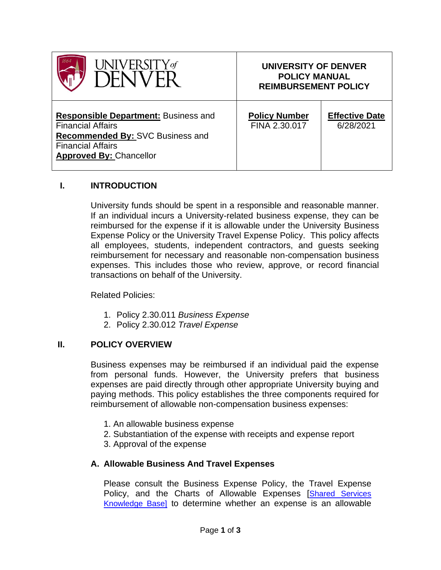| VFRSIT'                                                                                                                                                                   | UNIVERSITY OF DENVER<br><b>POLICY MANUAL</b><br><b>REIMBURSEMENT POLICY</b> |                                    |
|---------------------------------------------------------------------------------------------------------------------------------------------------------------------------|-----------------------------------------------------------------------------|------------------------------------|
| <b>Responsible Department: Business and</b><br><b>Financial Affairs</b><br>Recommended By: SVC Business and<br><b>Financial Affairs</b><br><b>Approved By: Chancellor</b> | <b>Policy Number</b><br>FINA 2.30.017                                       | <b>Effective Date</b><br>6/28/2021 |

#### **I. INTRODUCTION**

University funds should be spent in a responsible and reasonable manner. If an individual incurs a University-related business expense, they can be reimbursed for the expense if it is allowable under the University Business Expense Policy or the University Travel Expense Policy. This policy affects all employees, students, independent contractors, and guests seeking reimbursement for necessary and reasonable non-compensation business expenses. This includes those who review, approve, or record financial transactions on behalf of the University.

Related Policies:

- 1. Policy 2.30.011 *Business Expense*
- 2. Policy 2.30.012 *Travel Expense*

#### **II. POLICY OVERVIEW**

Business expenses may be reimbursed if an individual paid the expense from personal funds. However, the University prefers that business expenses are paid directly through other appropriate University buying and paying methods. This policy establishes the three components required for reimbursement of allowable non-compensation business expenses:

- 1. An allowable business expense
- 2. Substantiation of the expense with receipts and expense report
- 3. Approval of the expense

#### **A. Allowable Business And Travel Expenses**

Please consult the Business Expense Policy, the Travel Expense Policy, and the Charts of Allowable Expenses [Shared Services [Knowledge Base\]](https://dusharedservicescenter.freshdesk.com/support/solutions/articles/30000033789) to determine whether an expense is an allowable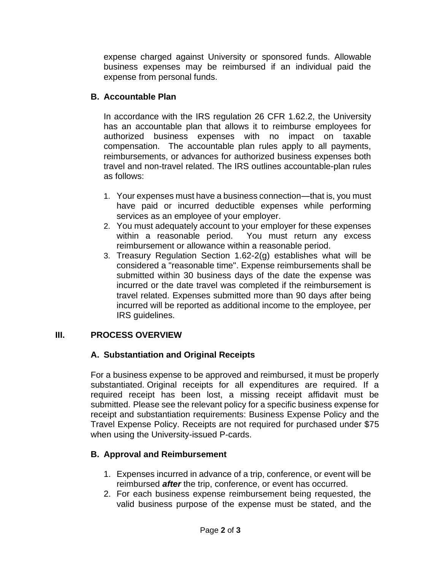expense charged against University or sponsored funds. Allowable business expenses may be reimbursed if an individual paid the expense from personal funds.

### **B. Accountable Plan**

In accordance with the IRS regulation 26 CFR 1.62.2, the University has an accountable plan that allows it to reimburse employees for authorized business expenses with no impact on taxable compensation. The accountable plan rules apply to all payments, reimbursements, or advances for authorized business expenses both travel and non-travel related. The IRS outlines accountable-plan rules as follows:

- 1. Your expenses must have a business connection—that is, you must have paid or incurred deductible expenses while performing services as an employee of your employer.
- 2. You must adequately account to your employer for these expenses within a reasonable period. You must return any excess reimbursement or allowance within a reasonable period.
- 3. Treasury Regulation Section 1.62-2(g) establishes what will be considered a "reasonable time". Expense reimbursements shall be submitted within 30 business days of the date the expense was incurred or the date travel was completed if the reimbursement is travel related. Expenses submitted more than 90 days after being incurred will be reported as additional income to the employee, per IRS guidelines.

## **III. PROCESS OVERVIEW**

# **A. Substantiation and Original Receipts**

For a business expense to be approved and reimbursed, it must be properly substantiated. Original receipts for all expenditures are required. If a required receipt has been lost, a missing receipt affidavit must be submitted. Please see the relevant policy for a specific business expense for receipt and substantiation requirements: Business Expense Policy and the Travel Expense Policy. Receipts are not required for purchased under \$75 when using the University-issued P-cards.

# **B. Approval and Reimbursement**

- 1. Expenses incurred in advance of a trip, conference, or event will be reimbursed *after* the trip, conference, or event has occurred.
- 2. For each business expense reimbursement being requested, the valid business purpose of the expense must be stated, and the